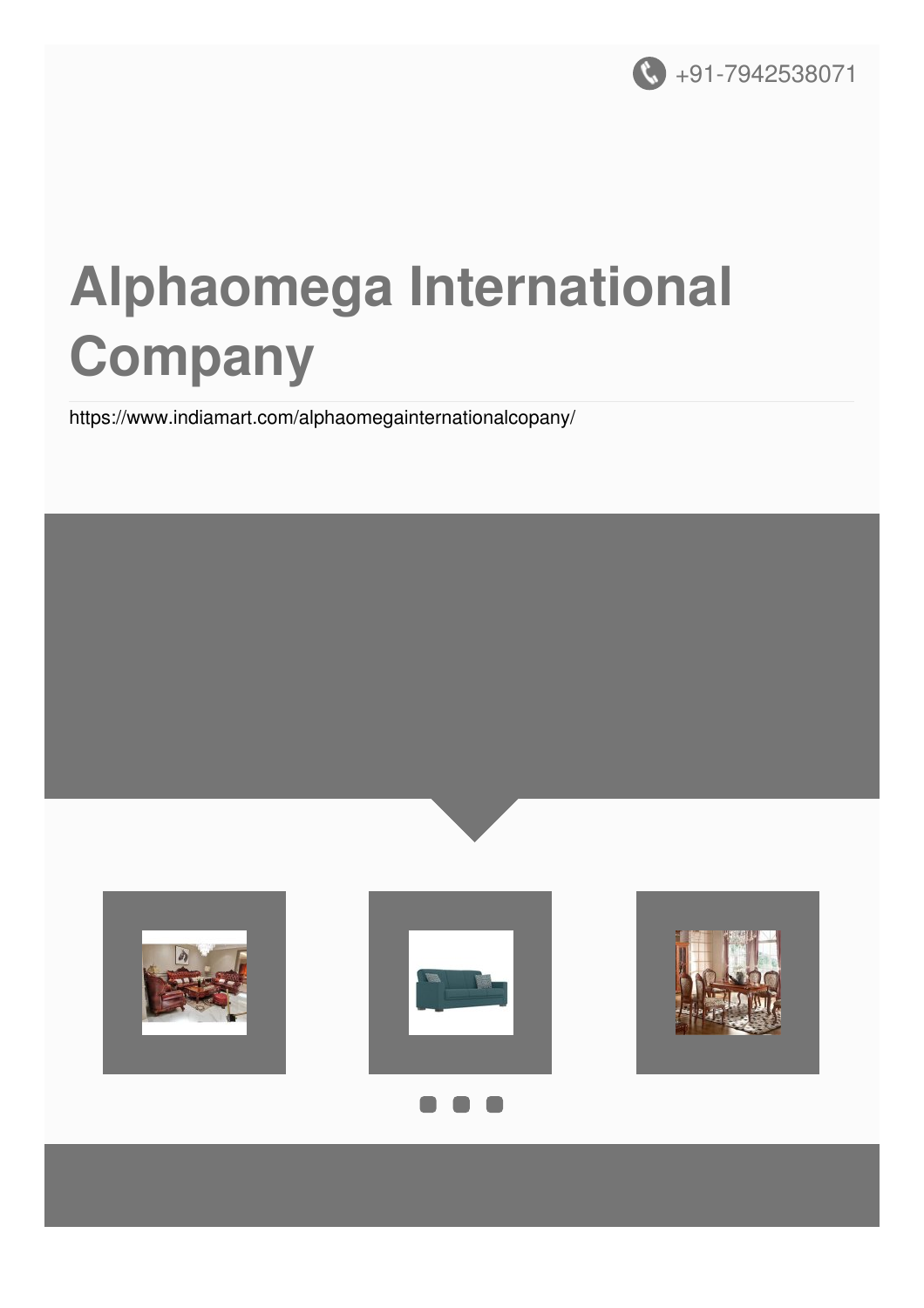

# **Alphaomega International Company**

<https://www.indiamart.com/alphaomegainternationalcopany/>

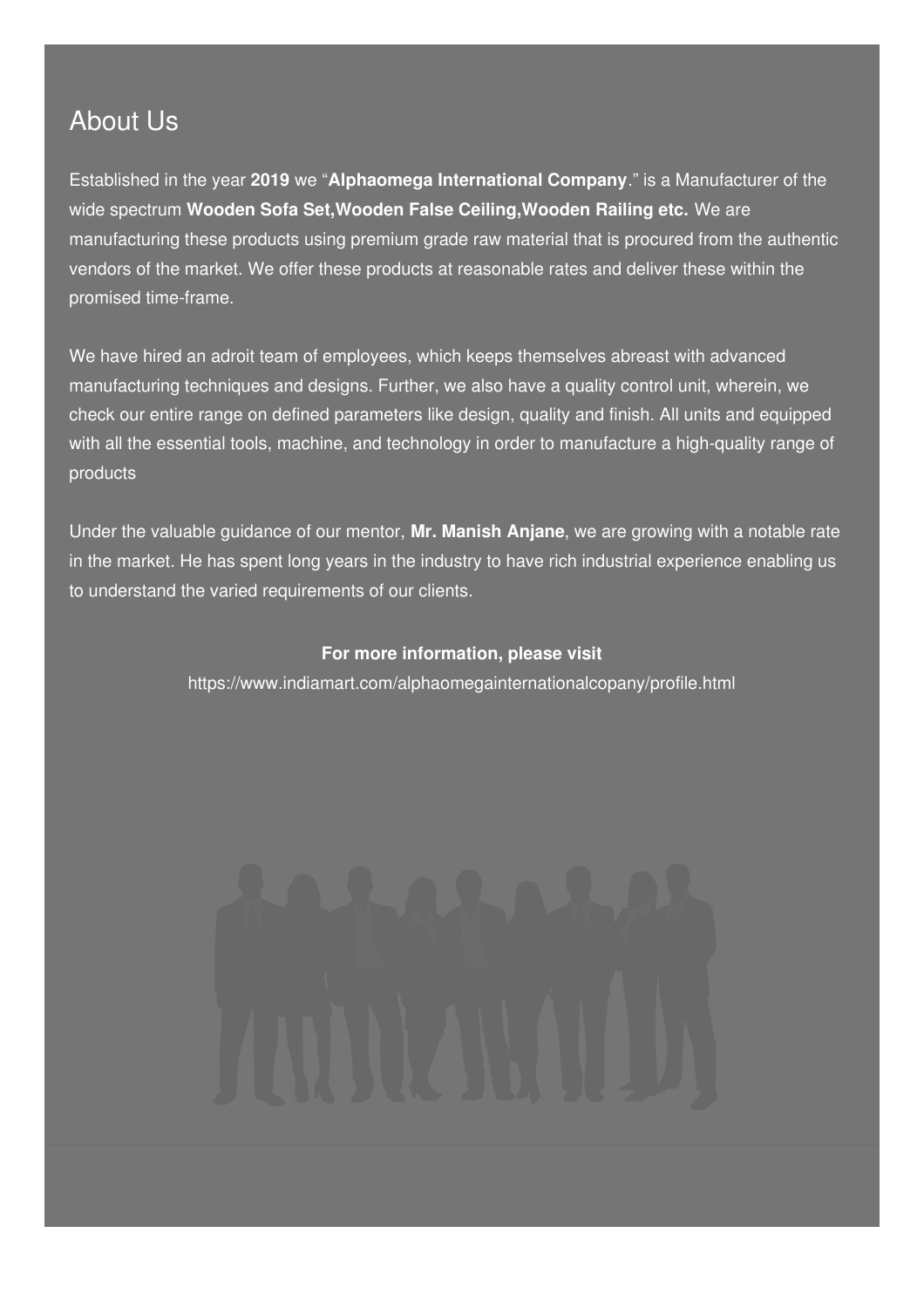### About Us

Established in the year **2019** we "**Alphaomega International Company**." is a Manufacturer of the wide spectrum **Wooden Sofa Set,Wooden False Ceiling,Wooden Railing etc.** We are manufacturing these products using premium grade raw material that is procured from the authentic vendors of the market. We offer these products at reasonable rates and deliver these within the promised time-frame.

We have hired an adroit team of employees, which keeps themselves abreast with advanced manufacturing techniques and designs. Further, we also have a quality control unit, wherein, we check our entire range on defined parameters like design, quality and finish. All units and equipped with all the essential tools, machine, and technology in order to manufacture a high-quality range of products

Under the valuable guidance of our mentor, **Mr. Manish Anjane**, we are growing with a notable rate in the market. He has spent long years in the industry to have rich industrial experience enabling us to understand the varied requirements of our clients.

#### **For more information, please visit**

<https://www.indiamart.com/alphaomegainternationalcopany/profile.html>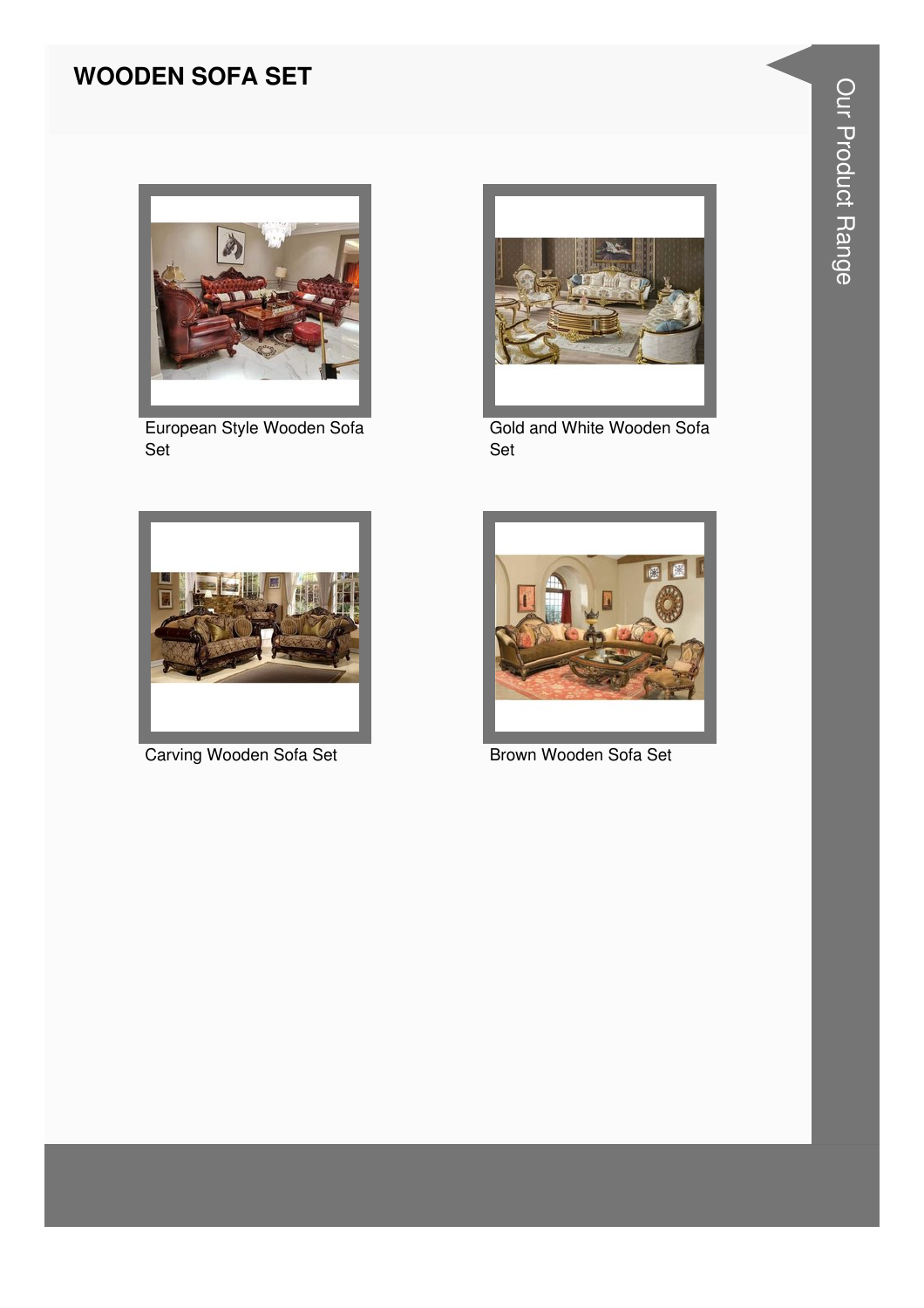#### **WOODEN SOFA SET**



European Style Wooden Sofa Set



Gold and White Wooden Sofa Set



Carving Wooden Sofa Set



Brown Wooden Sofa Set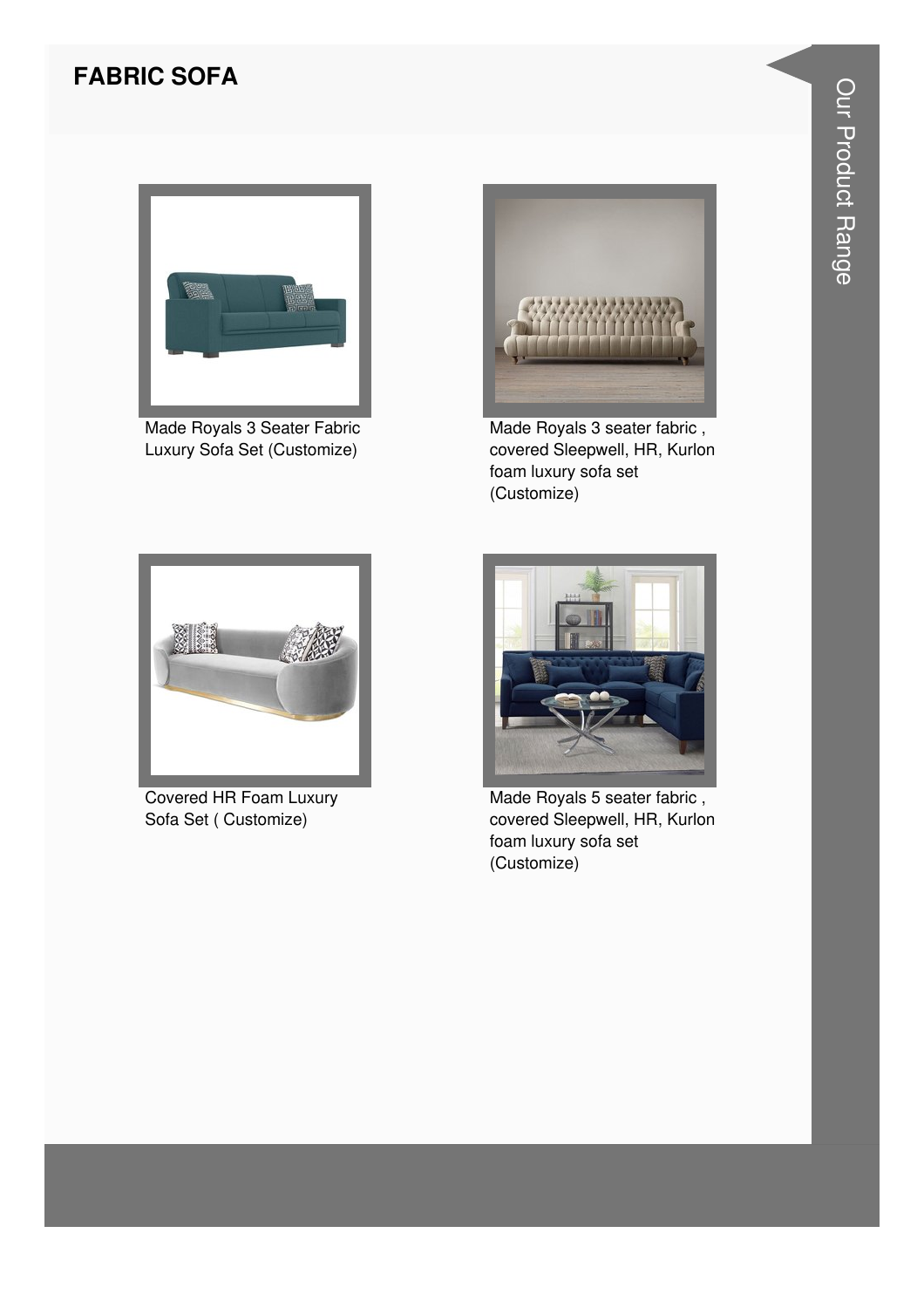#### **FABRIC SOFA**



Made Royals 3 Seater Fabric Luxury Sofa Set (Customize)



Made Royals 3 seater fabric , covered Sleepwell, HR, Kurlon foam luxury sofa set (Customize)



Covered HR Foam Luxury Sofa Set ( Customize)



Made Royals 5 seater fabric , covered Sleepwell, HR, Kurlon foam luxury sofa set (Customize)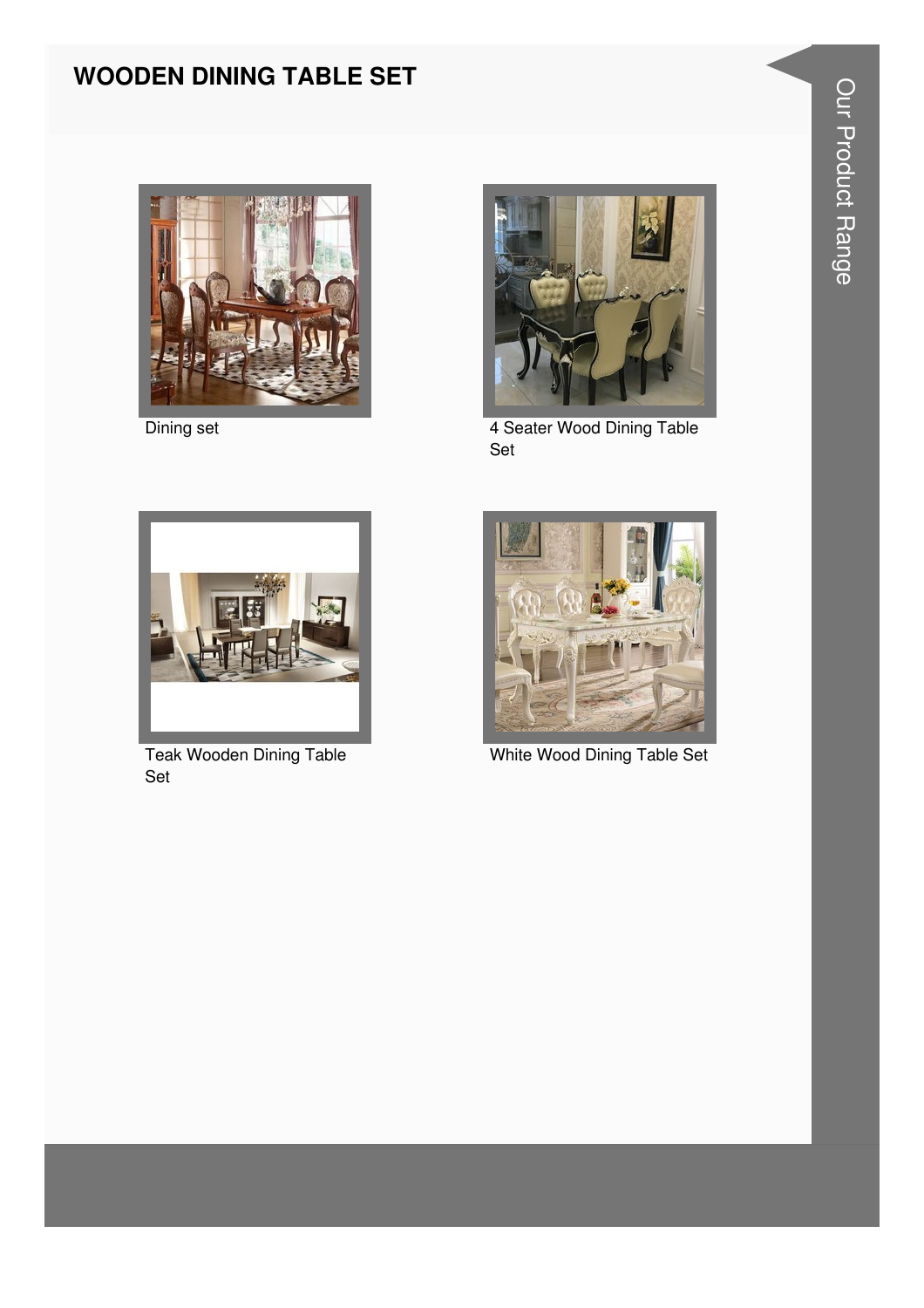#### **WOODEN DINING TABLE SET**



Dining set



4 Seater Wood Dining Table Set



**Teak Wooden Dining Table** Set



White Wood Dining Table Set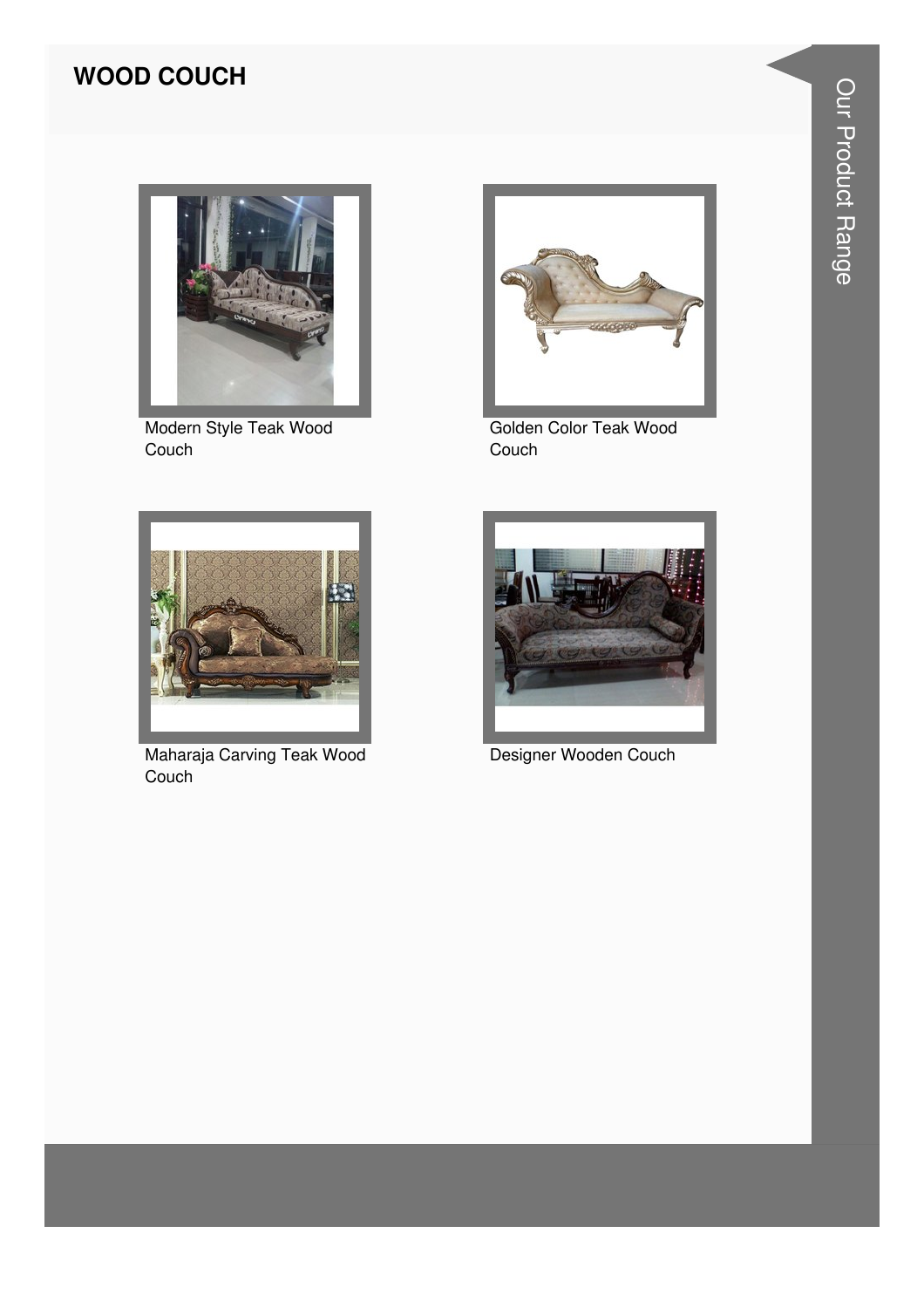#### **WOOD COUCH**



Modern Style Teak Wood Couch



Golden Color Teak Wood Couch



Maharaja Carving Teak Wood Couch



Designer Wooden Couch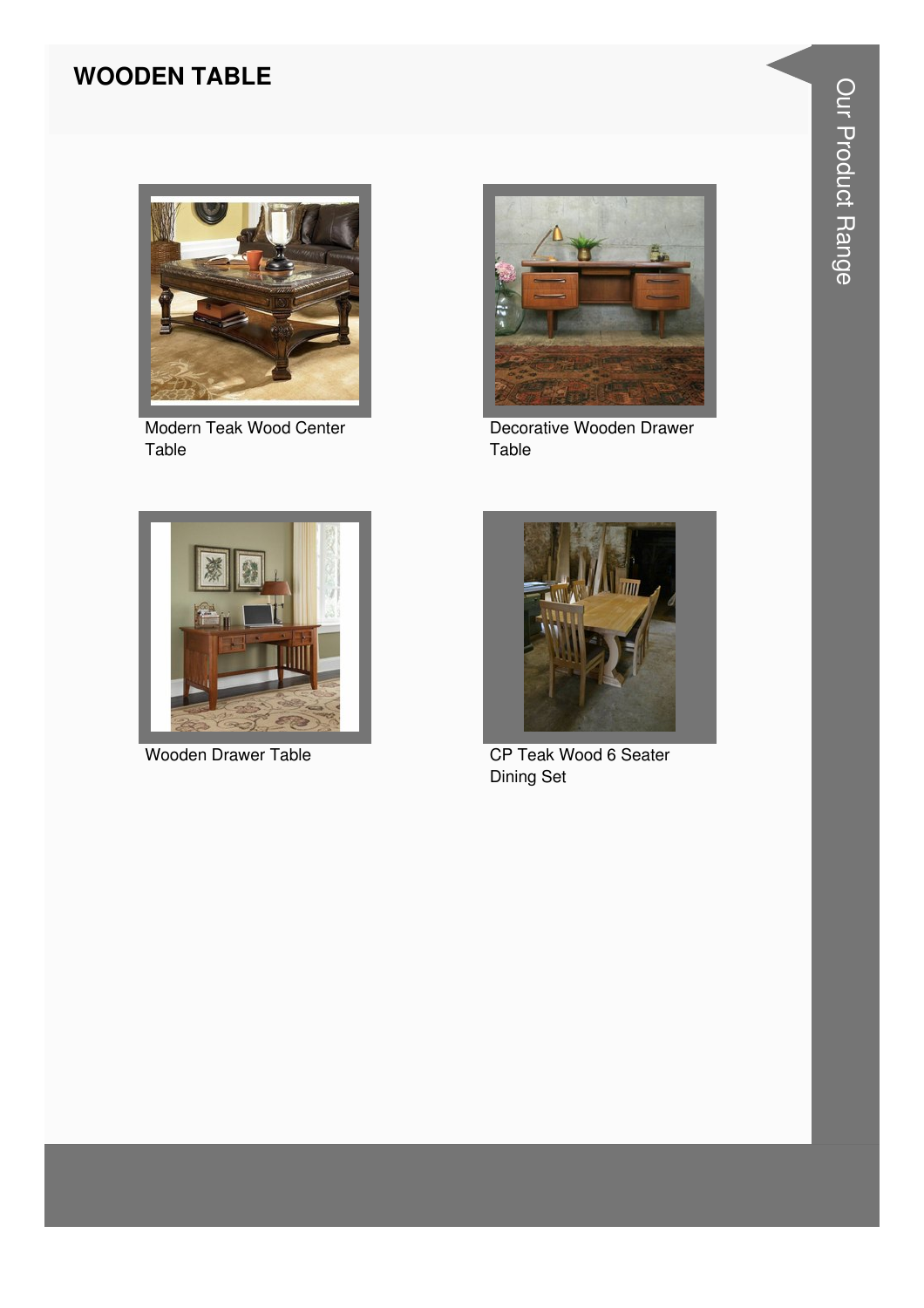#### **WOODEN TABLE**



Modern Teak Wood Center Table



**Wooden Drawer Table** 



Decorative Wooden Drawer Table



CP Teak Wood 6 Seater **Dining Set**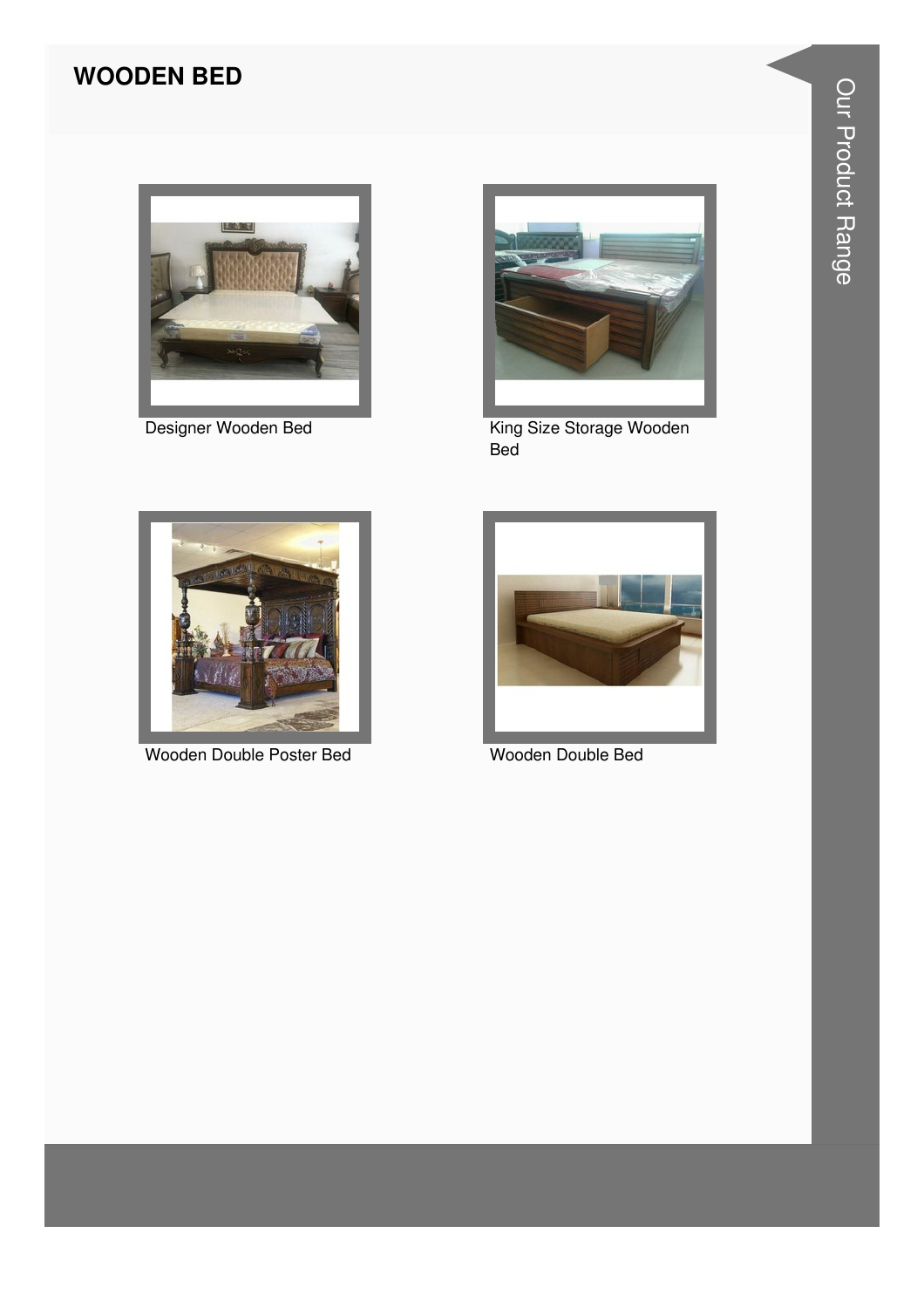#### **WOODEN BED**



Designer Wooden Bed



King Size Storage Wooden Bed



Wooden Double Poster Bed



Wooden Double Bed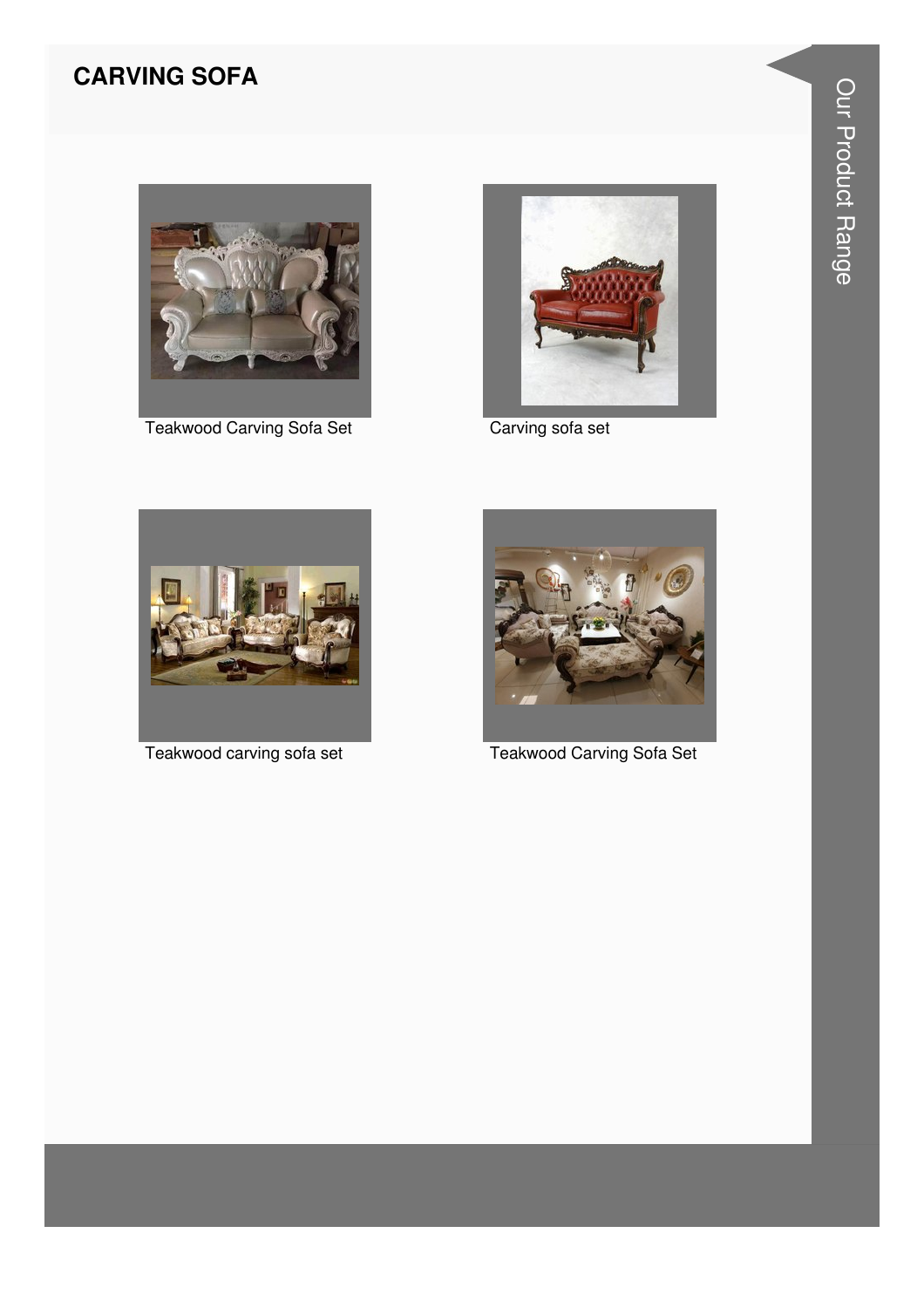#### **CARVING SOFA**



**Teakwood Carving Sofa Set** 



Carving sofa set



Teakwood carving sofa set



**Teakwood Carving Sofa Set**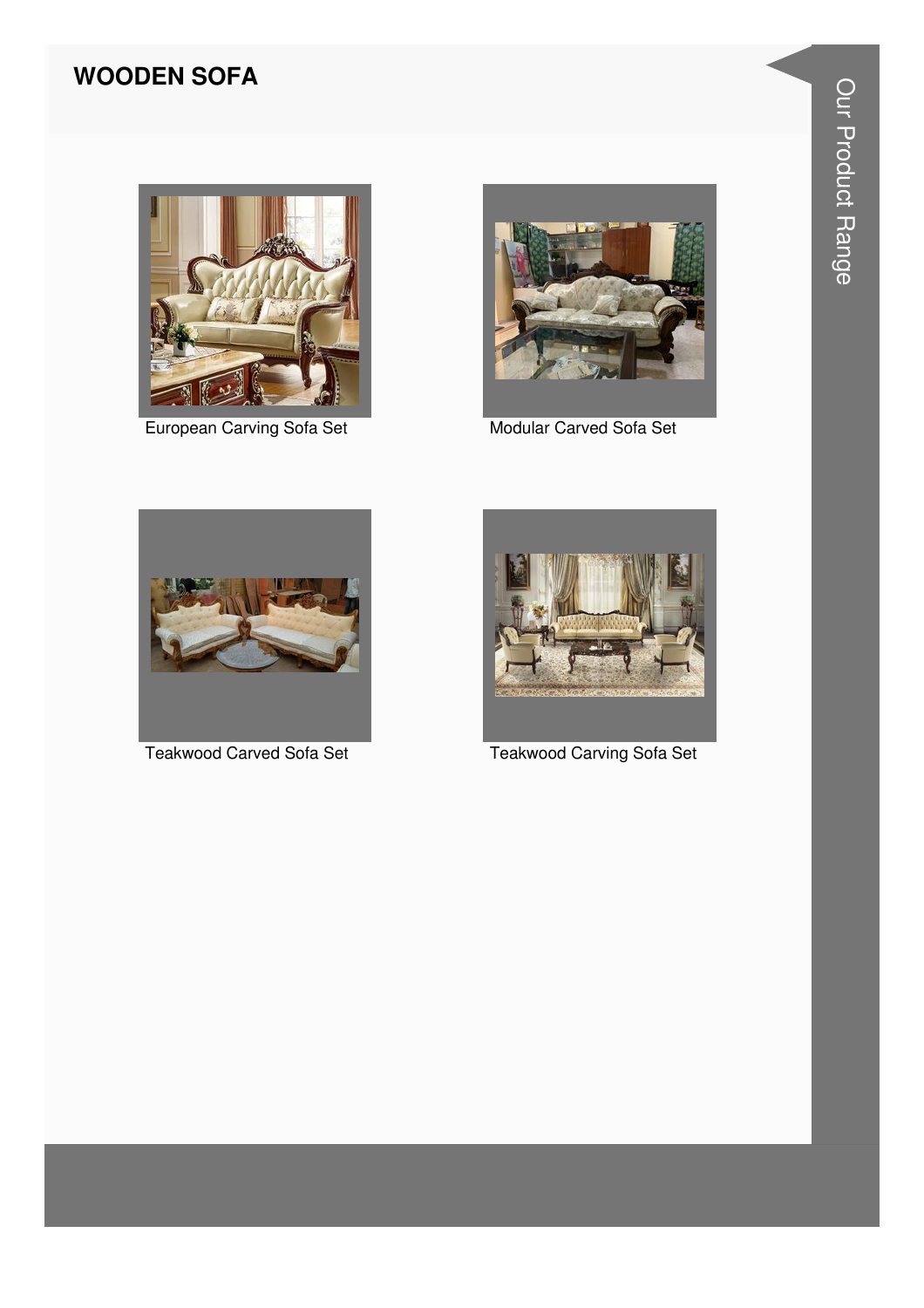#### **WOODEN SOFA**



European Carving Sofa Set



Modular Carved Sofa Set



Teakwood Carved Sofa Set



**Teakwood Carving Sofa Set**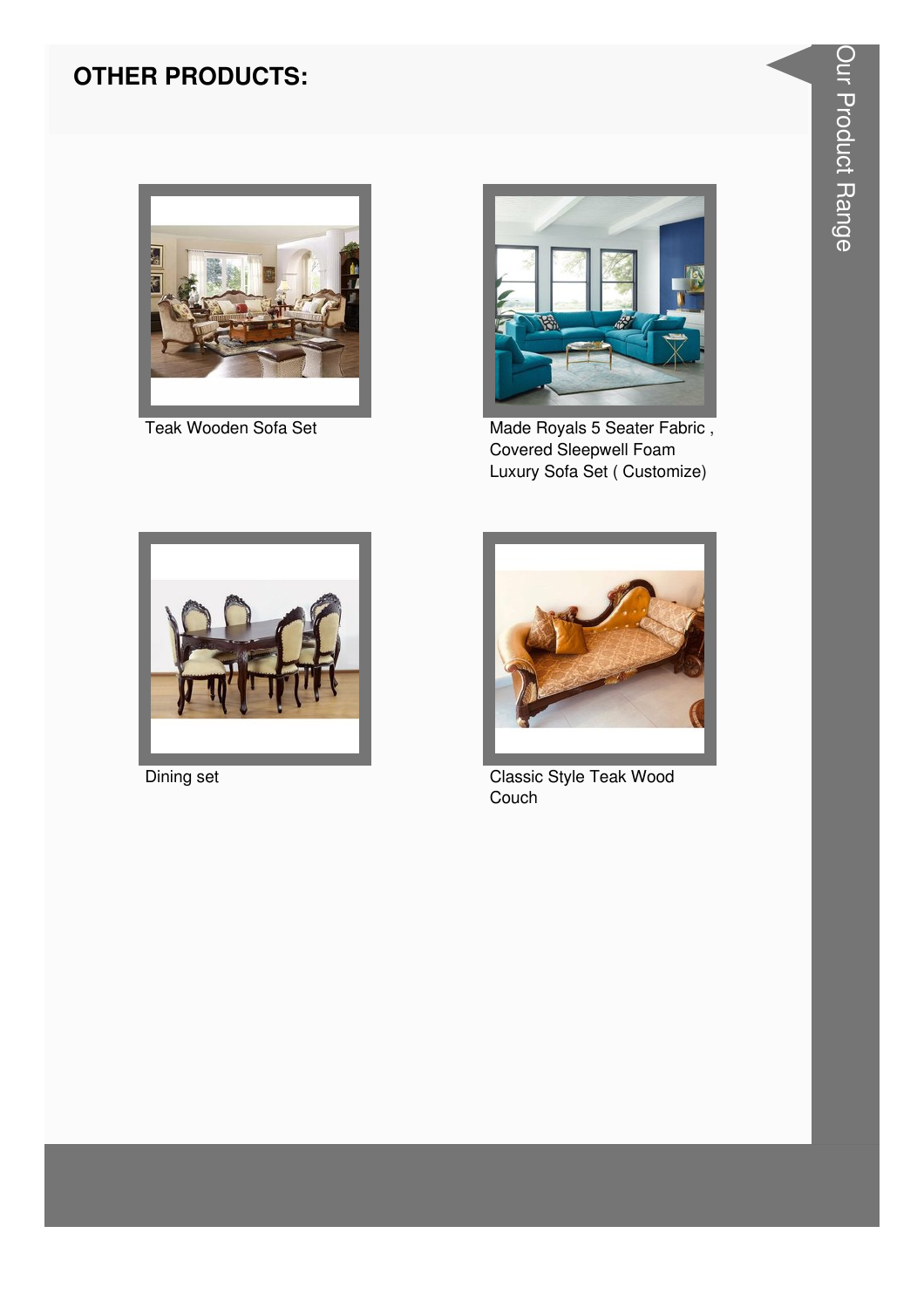#### **OTHER PRODUCTS:**



Teak Wooden Sofa Set



Made Royals 5 Seater Fabric, Covered Sleepwell Foam Luxury Sofa Set (Customize)



Dining set



Classic Style Teak Wood Couch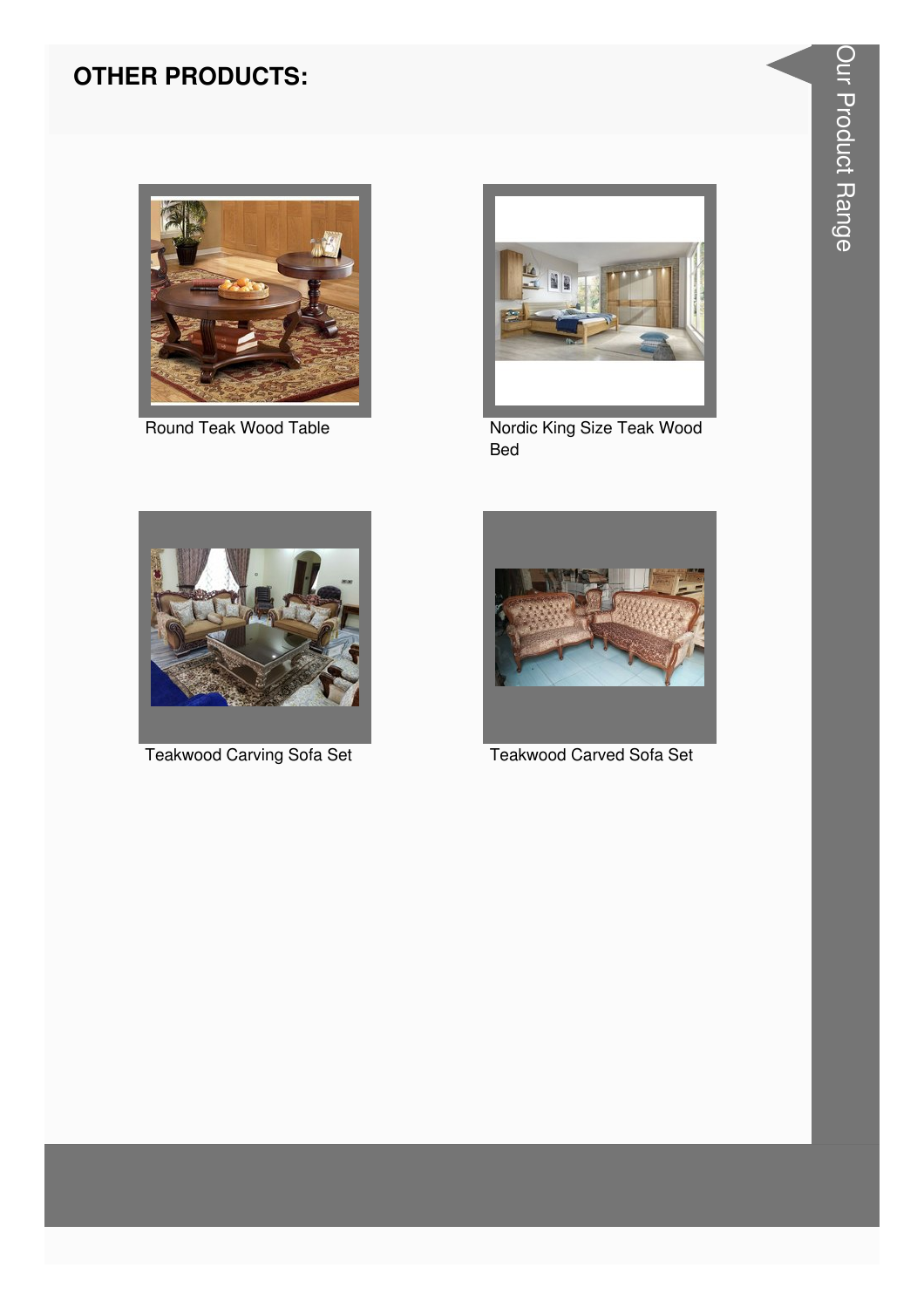#### **OTHER PRODUCTS:**





Round Teak Wood Table Nordic King Size Teak Wood Bed





Teakwood Carving Sofa Set Teakwood Carved Sofa Set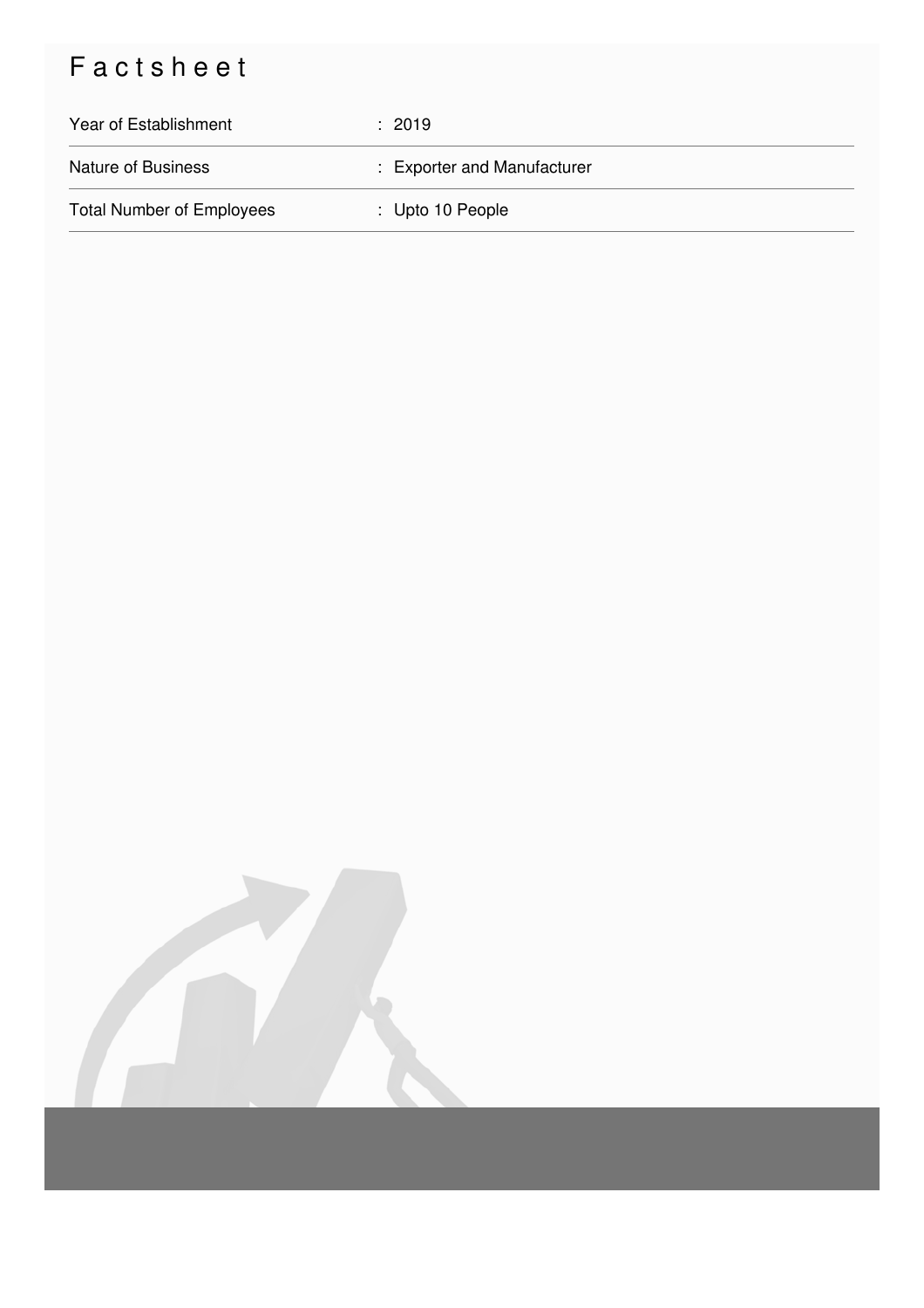## Factsheet

| Year of Establishment            | $\div$ 2019                 |
|----------------------------------|-----------------------------|
| <b>Nature of Business</b>        | : Exporter and Manufacturer |
| <b>Total Number of Employees</b> | : Upto 10 People            |